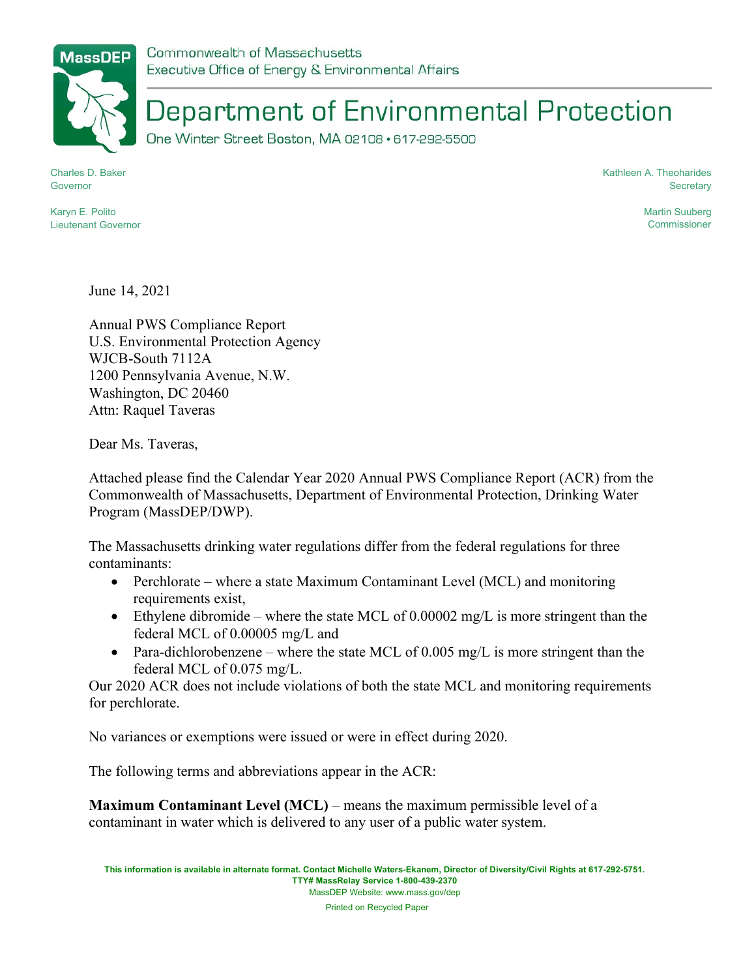Commonwealth of Massachusetts Executive Office of Energy & Environmental Affairs

## Department of Environmental Protection

One Winter Street Boston, MA 02108 · 617-292-5500

Charles D. Baker Governor

Kathleen A. Theoharides **Secretary** 

Karyn E. Polito Lieutenant Governor Martin Suuberg **Commissioner** 

June 14, 2021

Annual PWS Compliance Report U.S. Environmental Protection Agency WJCB-South 7112A 1200 Pennsylvania Avenue, N.W. Washington, DC 20460 Attn: Raquel Taveras

Dear Ms. Taveras,

Attached please find the Calendar Year 2020 Annual PWS Compliance Report (ACR) from the Commonwealth of Massachusetts, Department of Environmental Protection, Drinking Water Program (MassDEP/DWP).

The Massachusetts drinking water regulations differ from the federal regulations for three contaminants:

- Perchlorate where a state Maximum Contaminant Level (MCL) and monitoring requirements exist,
- Ethylene dibromide where the state MCL of  $0.00002$  mg/L is more stringent than the federal MCL of 0.00005 mg/L and
- Para-dichlorobenzene where the state MCL of  $0.005$  mg/L is more stringent than the federal MCL of 0.075 mg/L.

Our 2020 ACR does not include violations of both the state MCL and monitoring requirements for perchlorate.

No variances or exemptions were issued or were in effect during 2020.

The following terms and abbreviations appear in the ACR:

Maximum Contaminant Level (MCL) – means the maximum permissible level of a contaminant in water which is delivered to any user of a public water system.